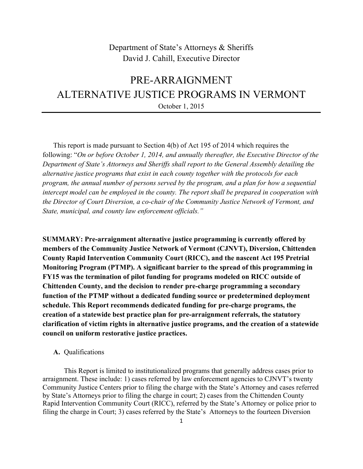## Department of State's Attorneys & Sheriffs David J. Cahill, Executive Director

# PRE-ARRAIGNMENT ALTERNATIVE JUSTICE PROGRAMS IN VERMONT October 1, 2015

This report is made pursuant to Section 4(b) of Act 195 of 2014 which requires the following: "*On or before October 1, 2014, and annually thereafter, the Executive Director of the Department of State's Attorneys and Sheriffs shall report to the General Assembly detailing the alternative justice programs that exist in each county together with the protocols for each program, the annual number of persons served by the program, and a plan for how a sequential intercept model can be employed in the county. The report shall be prepared in cooperation with the Director of Court Diversion, a co-chair of the Community Justice Network of Vermont, and State, municipal, and county law enforcement officials."*

**SUMMARY: Pre-arraignment alternative justice programming is currently offered by members of the Community Justice Network of Vermont (CJNVT), Diversion, Chittenden County Rapid Intervention Community Court (RICC), and the nascent Act 195 Pretrial Monitoring Program (PTMP). A significant barrier to the spread of this programming in FY15 was the termination of pilot funding for programs modeled on RICC outside of Chittenden County, and the decision to render pre-charge programming a secondary function of the PTMP without a dedicated funding source or predetermined deployment schedule. This Report recommends dedicated funding for pre-charge programs, the creation of a statewide best practice plan for pre-arraignment referrals, the statutory clarification of victim rights in alternative justice programs, and the creation of a statewide council on uniform restorative justice practices.**

#### **A.** Qualifications

This Report is limited to institutionalized programs that generally address cases prior to arraignment. These include: 1) cases referred by law enforcement agencies to CJNVT's twenty Community Justice Centers prior to filing the charge with the State's Attorney and cases referred by State's Attorneys prior to filing the charge in court; 2) cases from the Chittenden County Rapid Intervention Community Court (RICC), referred by the State's Attorney or police prior to filing the charge in Court; 3) cases referred by the State's Attorneys to the fourteen Diversion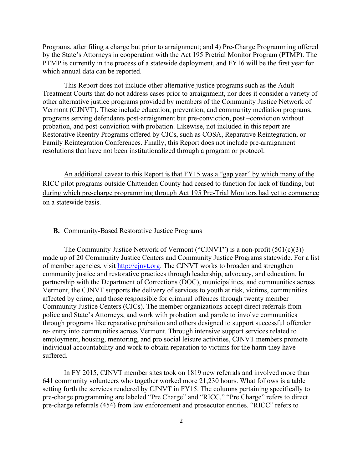Programs, after filing a charge but prior to arraignment; and 4) Pre-Charge Programming offered by the State's Attorneys in cooperation with the Act 195 Pretrial Monitor Program (PTMP). The PTMP is currently in the process of a statewide deployment, and FY16 will be the first year for which annual data can be reported.

This Report does not include other alternative justice programs such as the Adult Treatment Courts that do not address cases prior to arraignment, nor does it consider a variety of other alternative justice programs provided by members of the Community Justice Network of Vermont (CJNVT). These include education, prevention, and community mediation programs, programs serving defendants post-arraignment but pre-conviction, post –conviction without probation, and post-conviction with probation. Likewise, not included in this report are Restorative Reentry Programs offered by CJCs, such as COSA, Reparative Reintegration, or Family Reintegration Conferences. Finally, this Report does not include pre-arraignment resolutions that have not been institutionalized through a program or protocol.

An additional caveat to this Report is that FY15 was a "gap year" by which many of the RICC pilot programs outside Chittenden County had ceased to function for lack of funding, but during which pre-charge programming through Act 195 Pre-Trial Monitors had yet to commence on a statewide basis.

#### **B.** Community-Based Restorative Justice Programs

The Community Justice Network of Vermont ("CJNVT") is a non-profit (501(c)(3)) made up of 20 Community Justice Centers and Community Justice Programs statewide. For a list of member agencies, visit http://cjnvt.org. The CJNVT works to broaden and strengthen community justice and restorative practices through leadership, advocacy, and education. In partnership with the Department of Corrections (DOC), municipalities, and communities across Vermont, the CJNVT supports the delivery of services to youth at risk, victims, communities affected by crime, and those responsible for criminal offences through twenty member Community Justice Centers (CJCs). The member organizations accept direct referrals from police and State's Attorneys, and work with probation and parole to involve communities through programs like reparative probation and others designed to support successful offender re- entry into communities across Vermont. Through intensive support services related to employment, housing, mentoring, and pro social leisure activities, CJNVT members promote individual accountability and work to obtain reparation to victims for the harm they have suffered.

In FY 2015, CJNVT member sites took on 1819 new referrals and involved more than 641 community volunteers who together worked more 21,230 hours. What follows is a table setting forth the services rendered by CJNVT in FY15. The columns pertaining specifically to pre-charge programming are labeled "Pre Charge" and "RICC." "Pre Charge" refers to direct pre-charge referrals (454) from law enforcement and prosecutor entities. "RICC" refers to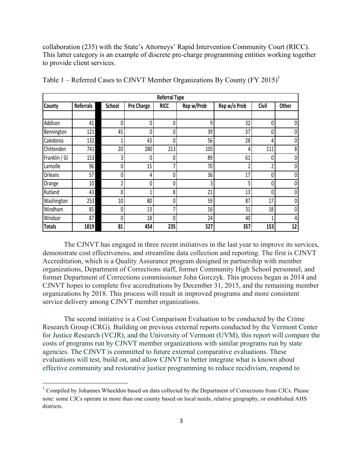collaboration (235) with the State's Attorneys' Rapid Intervention Community Court (RICC). This latter category is an example of discrete pre-charge programming entities working together to provide client services.

| <b>Referral Type</b> |                  |        |            |             |            |                |          |       |  |  |  |
|----------------------|------------------|--------|------------|-------------|------------|----------------|----------|-------|--|--|--|
| County               | <b>Referrals</b> | School | Pre Charge | <b>RICC</b> | Rep w/Prob | Rep w/o Prob   | Civil    | Other |  |  |  |
|                      |                  |        |            |             |            |                |          |       |  |  |  |
| Addison              | 41               | 0      | 0          | 0           | 9          | 32             | $\theta$ | 0     |  |  |  |
| Bennington           | 121              | 45     | 0          | 0           | 39         | 37             | 0        | 0     |  |  |  |
| Caledonia            | 132              |        | 43         | 0           | 56         | 28             | 4        | 0     |  |  |  |
| Chittenden           | 741              | 20     | 280        | 213         | 105        | 4              | 111      | 8     |  |  |  |
| Franklin / GI        | 153              | 3      | 0          | 0           | 89         | 61             | 0        | 0     |  |  |  |
| Lamoille             | 96               | 0      | 15         | 7           | 70         | $\overline{2}$ |          | 0     |  |  |  |
| Orleans              | 57               | 0      | 4          | 0           | 36         | 17             | 0        | 0     |  |  |  |
| Orange               | 10               |        | 0          | 0           | 3          | 5              |          | 0     |  |  |  |
| Rutland              | 43               | 0      |            | 8           | 21         | 13             | 0        | 0     |  |  |  |
| Washington           | 253              | 10     | 80         | 0           | 59         | 87             | 17       | 0     |  |  |  |
| Windham              | 85               | 0      | 13         | 7           | 16         | 31             | 18       | 0     |  |  |  |
| Windsor              | 87               | 0      | 18         | 0           | 24         | 40             |          | 4     |  |  |  |
| <b>Totals</b>        | 1819             | 81     | 454        | 235         | 527        | 357            | 153      | 12    |  |  |  |

Table 1 – Referred Cases to CJNVT Member Organizations By County (FY 2015)<sup>1</sup>

The CJNVT has engaged in three recent initiatives in the last year to improve its services, demonstrate cost effectiveness, and streamline data collection and reporting. The first is CJNVT Accreditation, which is a Quality Assurance program designed in partnership with member organizations, Department of Corrections staff, former Community High School personnel, and former Department of Corrections commissioner John Gorczyk. This process began in 2014 and CJNVT hopes to complete five accreditations by December 31, 2015, and the remaining member organizations by 2018. This process will result in improved programs and more consistent service delivery among CJNVT member organizations.

The second initiative is a Cost Comparison Evaluation to be conducted by the Crime Research Group (CRG). Building on previous external reports conducted by the Vermont Center for Justice Research (VCJR), and the University of Vermont (UVM), this report will compare the costs of programs run by CJNVT member organizations with similar programs run by state agencies. The CJNVT is committed to future external comparative evaluations. These evaluations will test, build on, and allow CJNVT to better integrate what is known about effective community and restorative justice programming to reduce recidivism, respond to

""""""""""""""""""""""""""""""""""""""""""""""""""""""""""""

<sup>&</sup>lt;sup>1</sup> Compiled by Johannes Wheeldon based on data collected by the Department of Corrections from CJCs. Please note: some CJCs operate in more than one county based on local needs, relative geography, or established AHS districts.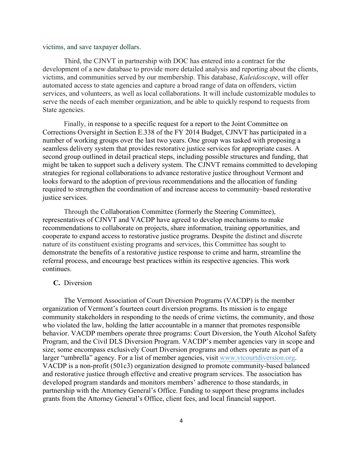victims, and save taxpayer dollars.

Third, the CJNVT in partnership with DOC has entered into a contract for the development of a new database to provide more detailed analysis and reporting about the clients, victims, and communities served by our membership. This database, *Kaleidoscope*, will offer automated access to state agencies and capture a broad range of data on offenders, victim services, and volunteers, as well as local collaborations. It will include customizable modules to serve the needs of each member organization, and be able to quickly respond to requests from State agencies.

Finally, in response to a specific request for a report to the Joint Committee on Corrections Oversight in Section E.338 of the FY 2014 Budget, CJNVT has participated in a number of working groups over the last two years. One group was tasked with proposing a seamless delivery system that provides restorative justice services for appropriate cases. A second group outlined in detail practical steps, including possible structures and funding, that might be taken to support such a delivery system. The CJNVT remains committed to developing strategies for regional collaborations to advance restorative justice throughout Vermont and looks forward to the adoption of previous recommendations and the allocation of funding required to strengthen the coordination of and increase access to community–based restorative justice services.

Through the Collaboration Committee (formerly the Steering Committee), representatives of CJNVT and VACDP have agreed to develop mechanisms to make recommendations to collaborate on projects, share information, training opportunities, and cooperate to expand access to restorative justice programs. Despite the distinct and discrete nature of its constituent existing programs and services, this Committee has sought to demonstrate the benefits of a restorative justice response to crime and harm, streamline the referral process, and encourage best practices within its respective agencies. This work continues.

#### **C.** Diversion

The Vermont Association of Court Diversion Programs (VACDP) is the member organization of Vermont's fourteen court diversion programs. Its mission is to engage community stakeholders in responding to the needs of crime victims, the community, and those who violated the law, holding the latter accountable in a manner that promotes responsible behavior. VACDP members operate three programs: Court Diversion, the Youth Alcohol Safety Program, and the Civil DLS Diversion Program. VACDP's member agencies vary in scope and size; some encompass exclusively Court Diversion programs and others operate as part of a larger "umbrella" agency. For a list of member agencies, visit www.vtcourtdiversion.org. VACDP is a non-profit (501c3) organization designed to promote community-based balanced and restorative justice through effective and creative program services. The association has developed program standards and monitors members' adherence to those standards, in partnership with the Attorney General's Office. Funding to support these programs includes grants from the Attorney General's Office, client fees, and local financial support.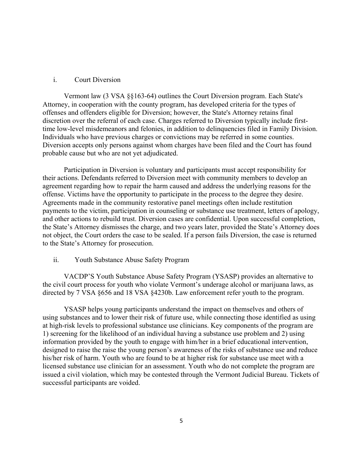#### i. Court Diversion

Vermont law (3 VSA §§163-64) outlines the Court Diversion program. Each State's Attorney, in cooperation with the county program, has developed criteria for the types of offenses and offenders eligible for Diversion; however, the State's Attorney retains final discretion over the referral of each case. Charges referred to Diversion typically include firsttime low-level misdemeanors and felonies, in addition to delinquencies filed in Family Division. Individuals who have previous charges or convictions may be referred in some counties. Diversion accepts only persons against whom charges have been filed and the Court has found probable cause but who are not yet adjudicated.

Participation in Diversion is voluntary and participants must accept responsibility for their actions. Defendants referred to Diversion meet with community members to develop an agreement regarding how to repair the harm caused and address the underlying reasons for the offense. Victims have the opportunity to participate in the process to the degree they desire. Agreements made in the community restorative panel meetings often include restitution payments to the victim, participation in counseling or substance use treatment, letters of apology, and other actions to rebuild trust. Diversion cases are confidential. Upon successful completion, the State's Attorney dismisses the charge, and two years later, provided the State's Attorney does not object, the Court orders the case to be sealed. If a person fails Diversion, the case is returned to the State's Attorney for prosecution.

#### ii. Youth Substance Abuse Safety Program

VACDP'S Youth Substance Abuse Safety Program (YSASP) provides an alternative to the civil court process for youth who violate Vermont's underage alcohol or marijuana laws, as directed by 7 VSA §656 and 18 VSA §4230b. Law enforcement refer youth to the program.

YSASP helps young participants understand the impact on themselves and others of using substances and to lower their risk of future use, while connecting those identified as using at high-risk levels to professional substance use clinicians. Key components of the program are 1) screening for the likelihood of an individual having a substance use problem and 2) using information provided by the youth to engage with him/her in a brief educational intervention, designed to raise the raise the young person's awareness of the risks of substance use and reduce his/her risk of harm. Youth who are found to be at higher risk for substance use meet with a licensed substance use clinician for an assessment. Youth who do not complete the program are issued a civil violation, which may be contested through the Vermont Judicial Bureau. Tickets of successful participants are voided.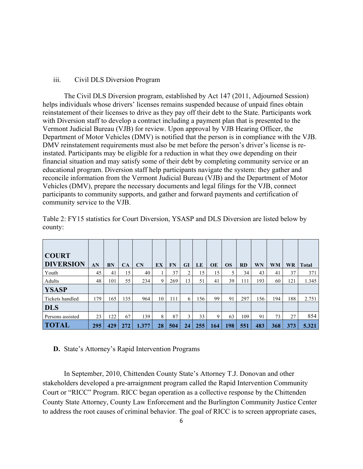#### iii. Civil DLS Diversion Program

The Civil DLS Diversion program, established by Act 147 (2011, Adjourned Session) helps individuals whose drivers' licenses remains suspended because of unpaid fines obtain reinstatement of their licenses to drive as they pay off their debt to the State. Participants work with Diversion staff to develop a contract including a payment plan that is presented to the Vermont Judicial Bureau (VJB) for review. Upon approval by VJB Hearing Officer, the Department of Motor Vehicles (DMV) is notified that the person is in compliance with the VJB. DMV reinstatement requirements must also be met before the person's driver's license is reinstated. Participants may be eligible for a reduction in what they owe depending on their financial situation and may satisfy some of their debt by completing community service or an educational program. Diversion staff help participants navigate the system: they gather and reconcile information from the Vermont Judicial Bureau (VJB) and the Department of Motor Vehicles (DMV), prepare the necessary documents and legal filings for the VJB, connect participants to community supports, and gather and forward payments and certification of community service to the VJB.

| <b>COURT</b><br><b>DIVERSION</b> | AN  | BN  | CA  | $\mathbf{C}$ N | EX | FN  | <b>GI</b> | LE  | <b>OE</b> | <b>OS</b> | <b>RD</b> | WN  | <b>WM</b> | <b>WR</b> | Total |
|----------------------------------|-----|-----|-----|----------------|----|-----|-----------|-----|-----------|-----------|-----------|-----|-----------|-----------|-------|
| Youth                            | 45  | 41  | 15  | 40             |    | 37  | 2         | 15  | 15        |           | 34        | 43  | 41        | 37        | 371   |
| Adults                           | 48  | 101 | 55  | 234            | 9  | 269 | 13        | 51  | 41        | 39        | 111       | 193 | 60        | 121       | 1.345 |
| <b>YSASP</b>                     |     |     |     |                |    |     |           |     |           |           |           |     |           |           |       |
| Tickets handled                  | 179 | 165 | 135 | 964            | 10 | 111 | 6         | 156 | 99        | 91        | 297       | 156 | 194       | 188       | 2.751 |
| <b>DLS</b>                       |     |     |     |                |    |     |           |     |           |           |           |     |           |           |       |
| Persons assisted                 | 23  | 122 | 67  | 139            | 8  | 87  | 3         | 33  | 9         | 63        | 109       | 91  | 73        | 27        | 854   |
| <b>TOTAL</b>                     | 295 | 429 | 272 | 1.377          | 28 | 504 | 24        | 255 | 164       | 198       | 551       | 483 | 368       | 373       | 5.321 |

Table 2: FY15 statistics for Court Diversion, YSASP and DLS Diversion are listed below by county:

#### **D.** State's Attorney's Rapid Intervention Programs

In September, 2010, Chittenden County State's Attorney T.J. Donovan and other stakeholders developed a pre-arraignment program called the Rapid Intervention Community Court or "RICC" Program. RICC began operation as a collective response by the Chittenden County State Attorney, County Law Enforcement and the Burlington Community Justice Center to address the root causes of criminal behavior. The goal of RICC is to screen appropriate cases,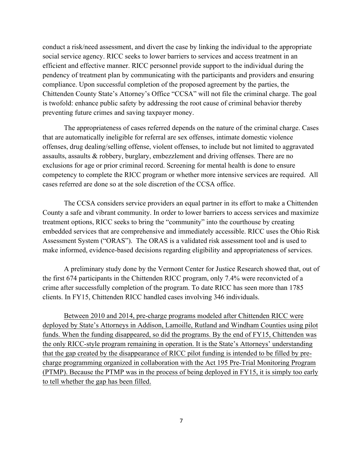conduct a risk/need assessment, and divert the case by linking the individual to the appropriate social service agency. RICC seeks to lower barriers to services and access treatment in an efficient and effective manner. RICC personnel provide support to the individual during the pendency of treatment plan by communicating with the participants and providers and ensuring compliance. Upon successful completion of the proposed agreement by the parties, the Chittenden County State's Attorney's Office "CCSA" will not file the criminal charge. The goal is twofold: enhance public safety by addressing the root cause of criminal behavior thereby preventing future crimes and saving taxpayer money.

The appropriateness of cases referred depends on the nature of the criminal charge. Cases that are automatically ineligible for referral are sex offenses, intimate domestic violence offenses, drug dealing/selling offense, violent offenses, to include but not limited to aggravated assaults, assaults & robbery, burglary, embezzlement and driving offenses. There are no exclusions for age or prior criminal record. Screening for mental health is done to ensure competency to complete the RICC program or whether more intensive services are required. All cases referred are done so at the sole discretion of the CCSA office.

The CCSA considers service providers an equal partner in its effort to make a Chittenden County a safe and vibrant community. In order to lower barriers to access services and maximize treatment options, RICC seeks to bring the "community" into the courthouse by creating embedded services that are comprehensive and immediately accessible. RICC uses the Ohio Risk Assessment System ("ORAS"). The ORAS is a validated risk assessment tool and is used to make informed, evidence-based decisions regarding eligibility and appropriateness of services.

A preliminary study done by the Vermont Center for Justice Research showed that, out of the first 674 participants in the Chittenden RICC program, only 7.4% were reconvicted of a crime after successfully completion of the program. To date RICC has seen more than 1785 clients. In FY15, Chittenden RICC handled cases involving 346 individuals.

Between 2010 and 2014, pre-charge programs modeled after Chittenden RICC were deployed by State's Attorneys in Addison, Lamoille, Rutland and Windham Counties using pilot funds. When the funding disappeared, so did the programs. By the end of FY15, Chittenden was the only RICC-style program remaining in operation. It is the State's Attorneys' understanding that the gap created by the disappearance of RICC pilot funding is intended to be filled by precharge programming organized in collaboration with the Act 195 Pre-Trial Monitoring Program (PTMP). Because the PTMP was in the process of being deployed in FY15, it is simply too early to tell whether the gap has been filled.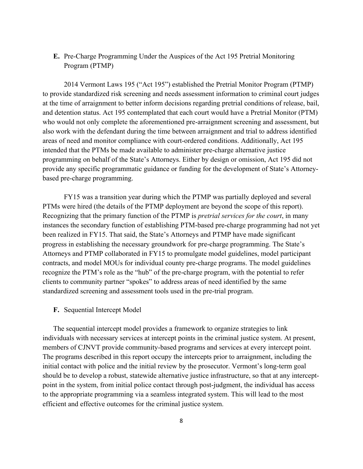### **E.** Pre-Charge Programming Under the Auspices of the Act 195 Pretrial Monitoring Program (PTMP)

2014 Vermont Laws 195 ("Act 195") established the Pretrial Monitor Program (PTMP) to provide standardized risk screening and needs assessment information to criminal court judges at the time of arraignment to better inform decisions regarding pretrial conditions of release, bail, and detention status. Act 195 contemplated that each court would have a Pretrial Monitor (PTM) who would not only complete the aforementioned pre-arraignment screening and assessment, but also work with the defendant during the time between arraignment and trial to address identified areas of need and monitor compliance with court-ordered conditions. Additionally, Act 195 intended that the PTMs be made available to administer pre-charge alternative justice programming on behalf of the State's Attorneys. Either by design or omission, Act 195 did not provide any specific programmatic guidance or funding for the development of State's Attorneybased pre-charge programming.

FY15 was a transition year during which the PTMP was partially deployed and several PTMs were hired (the details of the PTMP deployment are beyond the scope of this report). Recognizing that the primary function of the PTMP is *pretrial services for the court*, in many instances the secondary function of establishing PTM-based pre-charge programming had not yet been realized in FY15. That said, the State's Attorneys and PTMP have made significant progress in establishing the necessary groundwork for pre-charge programming. The State's Attorneys and PTMP collaborated in FY15 to promulgate model guidelines, model participant contracts, and model MOUs for individual county pre-charge programs. The model guidelines recognize the PTM's role as the "hub" of the pre-charge program, with the potential to refer clients to community partner "spokes" to address areas of need identified by the same standardized screening and assessment tools used in the pre-trial program.

**F.** Sequential Intercept Model

The sequential intercept model provides a framework to organize strategies to link individuals with necessary services at intercept points in the criminal justice system. At present, members of CJNVT provide community-based programs and services at every intercept point. The programs described in this report occupy the intercepts prior to arraignment, including the initial contact with police and the initial review by the prosecutor. Vermont's long-term goal should be to develop a robust, statewide alternative justice infrastructure, so that at any interceptpoint in the system, from initial police contact through post-judgment, the individual has access to the appropriate programming via a seamless integrated system. This will lead to the most efficient and effective outcomes for the criminal justice system.